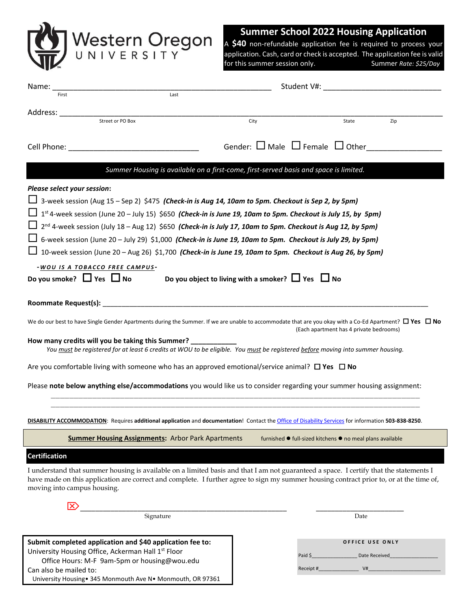

Office Hours: M-F 9am-5pm or housing@wou.edu

University Housing• 345 Monmouth Ave N• Monmouth, OR 97361

Can also be mailed to:

## **Summer School 2022 Housing Application**

A **\$40** non-refundable application fee is required to process your application. Cash, card or check is accepted. The application fee is valid<br>for this summer session only. Summer Rate: \$25/Day for this summer session only.

 $Receipt #$   $V#$ 

| Name: $\overline{\phantom{a}}$                                                                                                                                                                                                                                                                                   |      | Student V#: New York Student V#:                          |     |
|------------------------------------------------------------------------------------------------------------------------------------------------------------------------------------------------------------------------------------------------------------------------------------------------------------------|------|-----------------------------------------------------------|-----|
| Last<br>First                                                                                                                                                                                                                                                                                                    |      |                                                           |     |
| Address:                                                                                                                                                                                                                                                                                                         |      |                                                           |     |
| Street or PO Box                                                                                                                                                                                                                                                                                                 | City | State                                                     | Zip |
|                                                                                                                                                                                                                                                                                                                  |      |                                                           |     |
|                                                                                                                                                                                                                                                                                                                  |      | Gender: $\Box$ Male $\Box$ Female $\Box$ Other            |     |
| Summer Housing is available on a first-come, first-served basis and space is limited.                                                                                                                                                                                                                            |      |                                                           |     |
| Please select your session:                                                                                                                                                                                                                                                                                      |      |                                                           |     |
| $\Box$ 3-week session (Aug 15 – Sep 2) \$475 (Check-in is Aug 14, 10am to 5pm. Checkout is Sep 2, by 5pm)                                                                                                                                                                                                        |      |                                                           |     |
| 1st 4-week session (June 20 - July 15) \$650 (Check-in is June 19, 10am to 5pm. Checkout is July 15, by 5pm)                                                                                                                                                                                                     |      |                                                           |     |
| $\Box$ 2 <sup>nd</sup> 4-week session (July 18 – Aug 12) \$650 (Check-in is July 17, 10am to 5pm. Checkout is Aug 12, by 5pm)                                                                                                                                                                                    |      |                                                           |     |
| $\Box$ 6-week session (June 20 – July 29) \$1,000 (Check-in is June 19, 10am to 5pm. Checkout is July 29, by 5pm)                                                                                                                                                                                                |      |                                                           |     |
| 10-week session (June 20 – Aug 26) \$1,700 (Check-in is June 19, 10am to 5pm. Checkout is Aug 26, by 5pm)                                                                                                                                                                                                        |      |                                                           |     |
| -WOU IS A TOBACCO FREE CAMPUS-                                                                                                                                                                                                                                                                                   |      |                                                           |     |
| Do you smoke? $\Box$ Yes $\Box$ No<br>Do you object to living with a smoker? $\Box$ Yes $\Box$ No                                                                                                                                                                                                                |      |                                                           |     |
|                                                                                                                                                                                                                                                                                                                  |      |                                                           |     |
|                                                                                                                                                                                                                                                                                                                  |      |                                                           |     |
| We do our best to have Single Gender Apartments during the Summer. If we are unable to accommodate that are you okay with a Co-Ed Apartment? $\Box$ Yes $\Box$ No                                                                                                                                                |      | (Each apartment has 4 private bedrooms)                   |     |
| How many credits will you be taking this Summer? __________                                                                                                                                                                                                                                                      |      |                                                           |     |
| You must be registered for at least 6 credits at WOU to be eligible. You must be registered before moving into summer housing.                                                                                                                                                                                   |      |                                                           |     |
| Are you comfortable living with someone who has an approved emotional/service animal? $\Box$ Yes $\Box$ No                                                                                                                                                                                                       |      |                                                           |     |
| Please note below anything else/accommodations you would like us to consider regarding your summer housing assignment:                                                                                                                                                                                           |      |                                                           |     |
|                                                                                                                                                                                                                                                                                                                  |      |                                                           |     |
| DISABILITY ACCOMMODATION: Requires additional application and documentation! Contact the Office of Disability Services for information 503-838-8250.                                                                                                                                                             |      |                                                           |     |
| <b>Summer Housing Assignments: Arbor Park Apartments</b>                                                                                                                                                                                                                                                         |      | furnished ● full-sized kitchens ● no meal plans available |     |
| <b>Certification</b>                                                                                                                                                                                                                                                                                             |      |                                                           |     |
| I understand that summer housing is available on a limited basis and that I am not guaranteed a space. I certify that the statements I<br>have made on this application are correct and complete. I further agree to sign my summer housing contract prior to, or at the time of,<br>moving into campus housing. |      |                                                           |     |
| lx)                                                                                                                                                                                                                                                                                                              |      |                                                           |     |
| Signature                                                                                                                                                                                                                                                                                                        |      | Date                                                      |     |
|                                                                                                                                                                                                                                                                                                                  |      |                                                           |     |
| Submit completed application and \$40 application fee to:                                                                                                                                                                                                                                                        |      | OFFICE USE ONLY                                           |     |
| University Housing Office, Ackerman Hall 1st Floor                                                                                                                                                                                                                                                               |      | Paid \$<br>Date Received                                  |     |